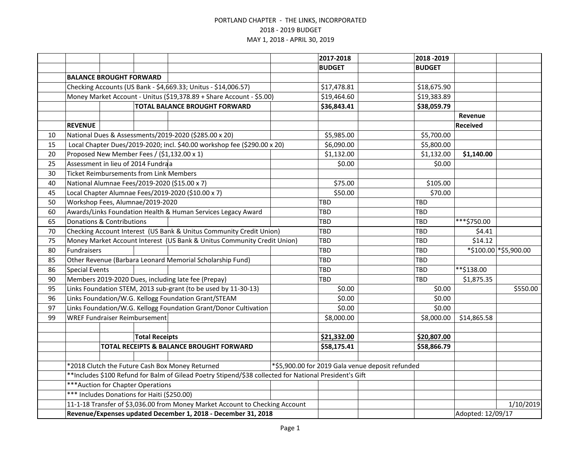|    |                                                                                                        |                                                                      |                       |                                                                          |             | 2017-2018     |                                                  | 2018 - 2019       |                 |                       |
|----|--------------------------------------------------------------------------------------------------------|----------------------------------------------------------------------|-----------------------|--------------------------------------------------------------------------|-------------|---------------|--------------------------------------------------|-------------------|-----------------|-----------------------|
|    |                                                                                                        |                                                                      |                       |                                                                          |             | <b>BUDGET</b> |                                                  | <b>BUDGET</b>     |                 |                       |
|    |                                                                                                        | <b>BALANCE BROUGHT FORWARD</b>                                       |                       |                                                                          |             |               |                                                  |                   |                 |                       |
|    | Checking Accounts (US Bank - \$4,669.33; Unitus - \$14,006.57)                                         |                                                                      |                       |                                                                          | \$17,478.81 |               | \$18,675.90                                      |                   |                 |                       |
|    |                                                                                                        | Money Market Account - Unitus (\$19,378.89 + Share Account - \$5.00) |                       |                                                                          |             | \$19,464.60   |                                                  | \$19,383.89       |                 |                       |
|    |                                                                                                        |                                                                      |                       | <b>TOTAL BALANCE BROUGHT FORWARD</b>                                     |             | \$36,843.41   |                                                  | \$38,059.79       |                 |                       |
|    |                                                                                                        |                                                                      |                       |                                                                          |             |               |                                                  |                   | Revenue         |                       |
|    | <b>REVENUE</b>                                                                                         |                                                                      |                       |                                                                          |             |               |                                                  |                   | <b>Received</b> |                       |
| 10 |                                                                                                        |                                                                      |                       | National Dues & Assessments/2019-2020 (\$285.00 x 20)                    |             | \$5,985.00    |                                                  | \$5,700.00        |                 |                       |
| 15 |                                                                                                        |                                                                      |                       | Local Chapter Dues/2019-2020; incl. \$40.00 workshop fee (\$290.00 x 20) |             | \$6,090.00    |                                                  | \$5,800.00        |                 |                       |
| 20 |                                                                                                        |                                                                      |                       | Proposed New Member Fees / (\$1,132.00 x 1)                              |             | \$1,132.00    |                                                  | \$1,132.00        | \$1,140.00      |                       |
| 25 |                                                                                                        | Assessment in lieu of 2014 Fundraa                                   |                       |                                                                          |             | \$0.00        |                                                  | \$0.00            |                 |                       |
| 30 |                                                                                                        | <b>Ticket Reimbursements from Link Members</b>                       |                       |                                                                          |             |               |                                                  |                   |                 |                       |
| 40 |                                                                                                        |                                                                      |                       | National Alumnae Fees/2019-2020 (\$15.00 x 7)                            |             | \$75.00       |                                                  | \$105.00          |                 |                       |
| 45 |                                                                                                        |                                                                      |                       | Local Chapter Alumnae Fees/2019-2020 (\$10.00 x 7)                       |             | \$50.00       |                                                  | \$70.00           |                 |                       |
| 50 |                                                                                                        | Workshop Fees, Alumnae/2019-2020                                     |                       |                                                                          |             | <b>TBD</b>    |                                                  | TBD               |                 |                       |
| 60 | Awards/Links Foundation Health & Human Services Legacy Award                                           |                                                                      |                       |                                                                          |             | <b>TBD</b>    |                                                  | TBD               |                 |                       |
| 65 | Donations & Contributions                                                                              |                                                                      |                       |                                                                          | <b>TBD</b>  |               | TBD                                              | ***\$750.00       |                 |                       |
| 70 | Checking Account Interest (US Bank & Unitus Community Credit Union)                                    |                                                                      |                       |                                                                          | <b>TBD</b>  |               | <b>TBD</b>                                       | \$4.41            |                 |                       |
| 75 | Money Market Account Interest (US Bank & Unitus Community Credit Union)                                |                                                                      |                       |                                                                          | <b>TBD</b>  |               | TBD                                              | \$14.12           |                 |                       |
| 80 | Fundraisers                                                                                            |                                                                      |                       |                                                                          |             | <b>TBD</b>    |                                                  | <b>TBD</b>        |                 | *\$100.00 *\$5,900.00 |
| 85 |                                                                                                        |                                                                      |                       | Other Revenue (Barbara Leonard Memorial Scholarship Fund)                |             | <b>TBD</b>    |                                                  | <b>TBD</b>        |                 |                       |
| 86 | <b>Special Events</b>                                                                                  |                                                                      |                       |                                                                          |             | TBD           |                                                  | TBD               | **\$138.00      |                       |
| 90 | Members 2019-2020 Dues, including late fee (Prepay)                                                    |                                                                      |                       |                                                                          | TBD         |               | TBD                                              | \$1,875.35        |                 |                       |
| 95 | Links Foundation STEM, 2013 sub-grant (to be used by 11-30-13)                                         |                                                                      |                       |                                                                          | \$0.00      |               | \$0.00                                           |                   | \$550.00        |                       |
| 96 | Links Foundation/W.G. Kellogg Foundation Grant/STEAM                                                   |                                                                      |                       |                                                                          | \$0.00      |               | \$0.00                                           |                   |                 |                       |
| 97 | Links Foundation/W.G. Kellogg Foundation Grant/Donor Cultivation                                       |                                                                      |                       |                                                                          | \$0.00      |               | \$0.00                                           |                   |                 |                       |
| 99 |                                                                                                        | <b>WREF Fundraiser Reimbursement</b>                                 |                       |                                                                          |             | \$8,000.00    |                                                  | \$8,000.00        | \$14,865.58     |                       |
|    |                                                                                                        |                                                                      |                       |                                                                          |             |               |                                                  |                   |                 |                       |
|    |                                                                                                        |                                                                      | <b>Total Receipts</b> |                                                                          |             | \$21,332.00   |                                                  | \$20,807.00       |                 |                       |
|    |                                                                                                        |                                                                      |                       | TOTAL RECEIPTS & BALANCE BROUGHT FORWARD                                 |             | \$58,175.41   |                                                  | \$58,866.79       |                 |                       |
|    |                                                                                                        |                                                                      |                       |                                                                          |             |               |                                                  |                   |                 |                       |
|    | *2018 Clutch the Future Cash Box Money Returned                                                        |                                                                      |                       |                                                                          |             |               | *\$5,900.00 for 2019 Gala venue deposit refunded |                   |                 |                       |
|    | **Includes \$100 Refund for Balm of Gilead Poetry Stipend/\$38 collected for National President's Gift |                                                                      |                       |                                                                          |             |               |                                                  |                   |                 |                       |
|    | *** Auction for Chapter Operations                                                                     |                                                                      |                       |                                                                          |             |               |                                                  |                   |                 |                       |
|    | *** Includes Donations for Haiti (\$250.00)                                                            |                                                                      |                       |                                                                          |             |               |                                                  |                   |                 |                       |
|    | 11-1-18 Transfer of \$3,036.00 from Money Market Account to Checking Account                           |                                                                      |                       |                                                                          |             |               |                                                  |                   |                 | 1/10/2019             |
|    | Revenue/Expenses updated December 1, 2018 - December 31, 2018                                          |                                                                      |                       |                                                                          |             |               |                                                  | Adopted: 12/09/17 |                 |                       |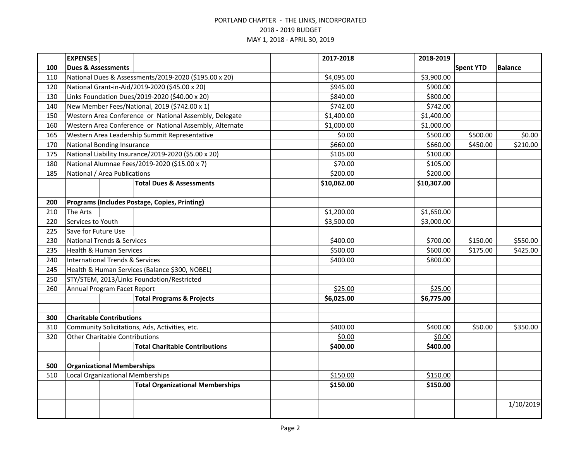|     | <b>EXPENSES</b>                                        |  |                                                         | 2017-2018   | 2018-2019        |                |           |
|-----|--------------------------------------------------------|--|---------------------------------------------------------|-------------|------------------|----------------|-----------|
| 100 | <b>Dues &amp; Assessments</b>                          |  |                                                         |             | <b>Spent YTD</b> | <b>Balance</b> |           |
| 110 | National Dues & Assessments/2019-2020 (\$195.00 x 20)  |  |                                                         | \$4,095.00  | \$3,900.00       |                |           |
| 120 | National Grant-in-Aid/2019-2020 (\$45.00 x 20)         |  | \$945.00                                                | \$900.00    |                  |                |           |
| 130 | Links Foundation Dues/2019-2020 (\$40.00 x 20)         |  |                                                         | \$840.00    | \$800.00         |                |           |
| 140 | New Member Fees/National, 2019 (\$742.00 x 1)          |  | \$742.00                                                | \$742.00    |                  |                |           |
| 150 | Western Area Conference or National Assembly, Delegate |  |                                                         | \$1,400.00  | \$1,400.00       |                |           |
| 160 |                                                        |  | Western Area Conference or National Assembly, Alternate | \$1,000.00  | \$1,000.00       |                |           |
| 165 | Western Area Leadership Summit Representative          |  |                                                         | \$0.00      | \$500.00         | \$500.00       | \$0.00    |
| 170 | National Bonding Insurance                             |  |                                                         | \$660.00    | \$660.00         | \$450.00       | \$210.00  |
| 175 | National Liability Insurance/2019-2020 (\$5.00 x 20)   |  |                                                         | \$105.00    | \$100.00         |                |           |
| 180 | National Alumnae Fees/2019-2020 (\$15.00 x 7)          |  |                                                         | \$70.00     | \$105.00         |                |           |
| 185 | National / Area Publications                           |  |                                                         | \$200.00    | \$200.00         |                |           |
|     |                                                        |  | <b>Total Dues &amp; Assessments</b>                     | \$10,062.00 | \$10,307.00      |                |           |
|     |                                                        |  |                                                         |             |                  |                |           |
| 200 | Programs (Includes Postage, Copies, Printing)          |  |                                                         |             |                  |                |           |
| 210 | The Arts                                               |  |                                                         | \$1,200.00  | \$1,650.00       |                |           |
| 220 | Services to Youth                                      |  |                                                         | \$3,500.00  | \$3,000.00       |                |           |
| 225 | Save for Future Use                                    |  |                                                         |             |                  |                |           |
| 230 | <b>National Trends &amp; Services</b>                  |  |                                                         | \$400.00    | \$700.00         | \$150.00       | \$550.00  |
| 235 | <b>Health &amp; Human Services</b>                     |  |                                                         | \$500.00    | \$600.00         | \$175.00       | \$425.00  |
| 240 | <b>International Trends &amp; Services</b>             |  |                                                         | \$400.00    | \$800.00         |                |           |
| 245 | Health & Human Services (Balance \$300, NOBEL)         |  |                                                         |             |                  |                |           |
| 250 | STY/STEM, 2013/Links Foundation/Restricted             |  |                                                         |             |                  |                |           |
| 260 | Annual Program Facet Report                            |  |                                                         | \$25.00     | \$25.00          |                |           |
|     |                                                        |  | <b>Total Programs &amp; Projects</b>                    | \$6,025.00  | \$6,775.00       |                |           |
|     |                                                        |  |                                                         |             |                  |                |           |
| 300 | <b>Charitable Contributions</b>                        |  |                                                         |             |                  |                |           |
| 310 | Community Solicitations, Ads, Activities, etc.         |  |                                                         | \$400.00    | \$400.00         | \$50.00        | \$350.00  |
| 320 | <b>Other Charitable Contributions</b>                  |  |                                                         | \$0.00      | \$0.00           |                |           |
|     |                                                        |  | <b>Total Charitable Contributions</b>                   | \$400.00    | \$400.00         |                |           |
|     |                                                        |  |                                                         |             |                  |                |           |
| 500 | <b>Organizational Memberships</b>                      |  |                                                         |             |                  |                |           |
| 510 | <b>Local Organizational Memberships</b>                |  |                                                         | \$150.00    | \$150.00         |                |           |
|     |                                                        |  | <b>Total Organizational Memberships</b>                 | \$150.00    | \$150.00         |                |           |
|     |                                                        |  |                                                         |             |                  |                |           |
|     |                                                        |  |                                                         |             |                  |                | 1/10/2019 |
|     |                                                        |  |                                                         |             |                  |                |           |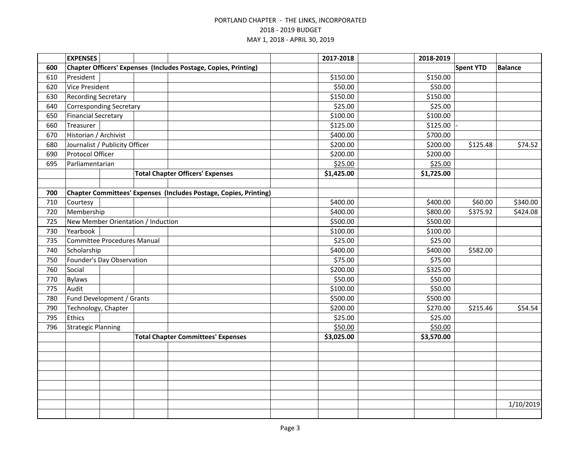|     | <b>EXPENSES</b>                                                 |                                         |                                                                   | 2017-2018  | 2018-2019  |                  |                |
|-----|-----------------------------------------------------------------|-----------------------------------------|-------------------------------------------------------------------|------------|------------|------------------|----------------|
| 600 | Chapter Officers' Expenses (Includes Postage, Copies, Printing) |                                         |                                                                   |            |            | <b>Spent YTD</b> | <b>Balance</b> |
| 610 | President                                                       |                                         |                                                                   | \$150.00   | \$150.00   |                  |                |
| 620 | Vice President                                                  |                                         |                                                                   | \$50.00    | \$50.00    |                  |                |
| 630 | <b>Recording Secretary</b>                                      |                                         |                                                                   | \$150.00   | \$150.00   |                  |                |
| 640 | <b>Corresponding Secretary</b>                                  |                                         |                                                                   | \$25.00    | \$25.00    |                  |                |
| 650 | <b>Financial Secretary</b>                                      |                                         |                                                                   | \$100.00   | \$100.00   |                  |                |
| 660 | Treasurer                                                       |                                         |                                                                   | \$125.00   | \$125.00   |                  |                |
| 670 | Historian / Archivist                                           |                                         |                                                                   | \$400.00   | \$700.00   |                  |                |
| 680 | Journalist / Publicity Officer                                  |                                         |                                                                   | \$200.00   | \$200.00   | \$125.48         | \$74.52        |
| 690 | Protocol Officer                                                |                                         |                                                                   | \$200.00   | \$200.00   |                  |                |
| 695 | Parliamentarian                                                 |                                         |                                                                   | \$25.00    | \$25.00    |                  |                |
|     |                                                                 | <b>Total Chapter Officers' Expenses</b> |                                                                   | \$1,425.00 | \$1,725.00 |                  |                |
|     |                                                                 |                                         |                                                                   |            |            |                  |                |
| 700 |                                                                 |                                         | Chapter Committees' Expenses (Includes Postage, Copies, Printing) |            |            |                  |                |
| 710 | Courtesy                                                        |                                         |                                                                   | \$400.00   | \$400.00   | \$60.00          | \$340.00       |
| 720 | Membership                                                      |                                         |                                                                   | \$400.00   | \$800.00   | \$375.92         | \$424.08       |
| 725 | New Member Orientation / Induction                              |                                         |                                                                   | \$500.00   | \$500.00   |                  |                |
| 730 | Yearbook                                                        |                                         |                                                                   | \$100.00   | \$100.00   |                  |                |
| 735 | Committee Procedures Manual                                     |                                         |                                                                   | \$25.00    | \$25.00    |                  |                |
| 740 | Scholarship                                                     |                                         |                                                                   | \$400.00   | \$400.00   | \$582.00         |                |
| 750 | Founder's Day Observation                                       |                                         |                                                                   | \$75.00    | \$75.00    |                  |                |
| 760 | Social                                                          |                                         |                                                                   | \$200.00   | \$325.00   |                  |                |
| 770 | <b>Bylaws</b>                                                   |                                         |                                                                   | \$50.00    | \$50.00    |                  |                |
| 775 | Audit                                                           |                                         |                                                                   | \$100.00   | \$50.00    |                  |                |
| 780 | Fund Development / Grants                                       |                                         | \$500.00                                                          | \$500.00   |            |                  |                |
| 790 | Technology, Chapter                                             |                                         |                                                                   | \$200.00   | \$270.00   | \$215.46         | \$54.54        |
| 795 | Ethics                                                          |                                         |                                                                   | \$25.00    | \$25.00    |                  |                |
| 796 | <b>Strategic Planning</b>                                       |                                         | \$50.00                                                           | \$50.00    |            |                  |                |
|     |                                                                 |                                         | <b>Total Chapter Committees' Expenses</b>                         | \$3,025.00 | \$3,570.00 |                  |                |
|     |                                                                 |                                         |                                                                   |            |            |                  |                |
|     |                                                                 |                                         |                                                                   |            |            |                  |                |
|     |                                                                 |                                         |                                                                   |            |            |                  |                |
|     |                                                                 |                                         |                                                                   |            |            |                  |                |
|     |                                                                 |                                         |                                                                   |            |            |                  |                |
|     |                                                                 |                                         |                                                                   |            |            |                  |                |
|     |                                                                 |                                         |                                                                   |            |            |                  | 1/10/2019      |
|     |                                                                 |                                         |                                                                   |            |            |                  |                |